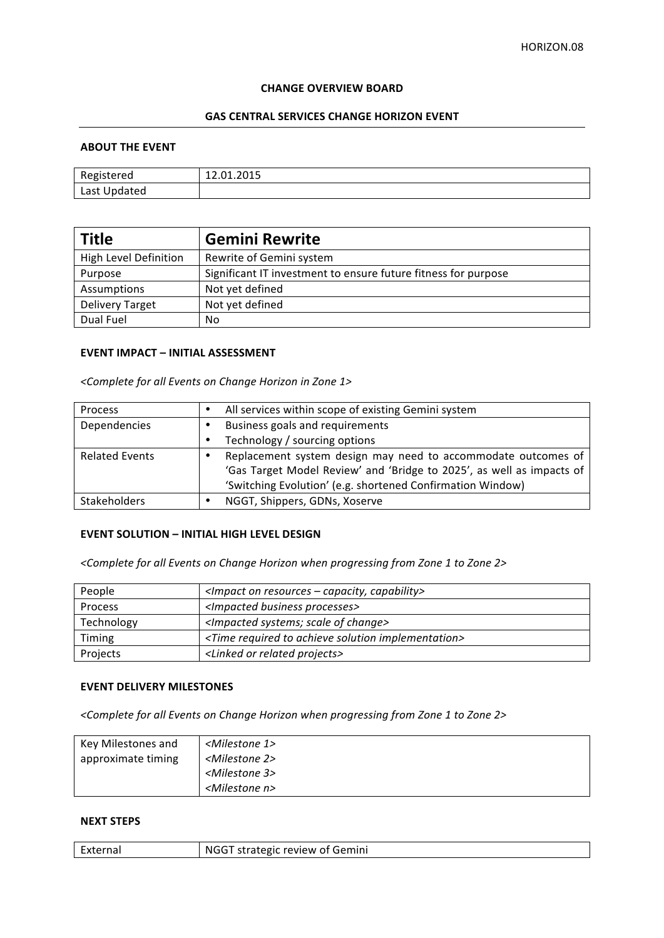#### **CHANGE OVERVIEW BOARD**

## **GAS CENTRAL SERVICES CHANGE HORIZON EVENT**

#### **ABOUT THE EVENT**

| Registered   | 12.01.2015 |
|--------------|------------|
| Last Updated |            |

| <b>Title</b>           | <b>Gemini Rewrite</b>                                          |
|------------------------|----------------------------------------------------------------|
| High Level Definition  | Rewrite of Gemini system                                       |
| Purpose                | Significant IT investment to ensure future fitness for purpose |
| Assumptions            | Not yet defined                                                |
| <b>Delivery Target</b> | Not yet defined                                                |
| Dual Fuel              | No                                                             |

# **EVENT IMPACT – INITIAL ASSESSMENT**

*<Complete for all Events on Change Horizon in Zone 1>*

| Process               | $\bullet$ | All services within scope of existing Gemini system                   |
|-----------------------|-----------|-----------------------------------------------------------------------|
| Dependencies          |           | Business goals and requirements                                       |
|                       | $\bullet$ | Technology / sourcing options                                         |
| <b>Related Events</b> |           | Replacement system design may need to accommodate outcomes of         |
|                       |           | 'Gas Target Model Review' and 'Bridge to 2025', as well as impacts of |
|                       |           | 'Switching Evolution' (e.g. shortened Confirmation Window)            |
| <b>Stakeholders</b>   |           | NGGT, Shippers, GDNs, Xoserve                                         |

# **EVENT SOLUTION - INITIAL HIGH LEVEL DESIGN**

<Complete for all Events on Change Horizon when progressing from Zone 1 to Zone 2>

| People         | $\leq$ Impact on resources – capacity, capability>                       |
|----------------|--------------------------------------------------------------------------|
| <b>Process</b> | <impacted business="" processes=""></impacted>                           |
| Technology     | <impacted change="" of="" scale="" systems;=""></impacted>               |
| Timing         | <time achieve="" implementation="" required="" solution="" to=""></time> |
| Projects       | <linked or="" projects="" related=""></linked>                           |

### **EVENT DELIVERY MILESTONES**

<Complete for all Events on Change Horizon when progressing from Zone 1 to Zone 2>

| Key Milestones and | <milestone 1=""></milestone> |
|--------------------|------------------------------|
| approximate timing | <milestone 2=""></milestone> |
|                    | <milestone 3=""></milestone> |
|                    | <milestone n=""></milestone> |

### **NEXT STEPS**

| NGGT strategic review of Gemini<br>External |
|---------------------------------------------|
|---------------------------------------------|